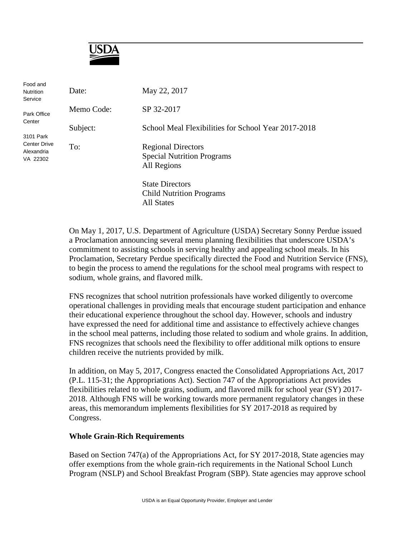

| Food and<br><b>Nutrition</b><br>Service       | Date:      | May 22, 2017                                        |
|-----------------------------------------------|------------|-----------------------------------------------------|
| Park Office<br>Center                         | Memo Code: | SP 32-2017                                          |
|                                               | Subject:   | School Meal Flexibilities for School Year 2017-2018 |
| 3101 Park                                     |            |                                                     |
| <b>Center Drive</b><br>Alexandria<br>VA 22302 | To:        | <b>Regional Directors</b>                           |
|                                               |            | <b>Special Nutrition Programs</b>                   |
|                                               |            | All Regions                                         |
|                                               |            | <b>State Directors</b>                              |
|                                               |            | <b>Child Nutrition Programs</b>                     |
|                                               |            | All States                                          |

On May 1, 2017, U.S. Department of Agriculture (USDA) Secretary Sonny Perdue issued a Proclamation announcing several menu planning flexibilities that underscore USDA's commitment to assisting schools in serving healthy and appealing school meals. In his Proclamation, Secretary Perdue specifically directed the Food and Nutrition Service (FNS), to begin the process to amend the regulations for the school meal programs with respect to sodium, whole grains, and flavored milk.

FNS recognizes that school nutrition professionals have worked diligently to overcome operational challenges in providing meals that encourage student participation and enhance their educational experience throughout the school day. However, schools and industry have expressed the need for additional time and assistance to effectively achieve changes in the school meal patterns, including those related to sodium and whole grains. In addition, FNS recognizes that schools need the flexibility to offer additional milk options to ensure children receive the nutrients provided by milk.

In addition, on May 5, 2017, Congress enacted the Consolidated Appropriations Act, 2017 (P.L. 115-31; the Appropriations Act). Section 747 of the Appropriations Act provides flexibilities related to whole grains, sodium, and flavored milk for school year (SY) 2017- 2018. Although FNS will be working towards more permanent regulatory changes in these areas, this memorandum implements flexibilities for SY 2017-2018 as required by Congress.

## **Whole Grain-Rich Requirements**

Based on Section 747(a) of the Appropriations Act, for SY 2017-2018, State agencies may offer exemptions from the whole grain-rich requirements in the National School Lunch Program (NSLP) and School Breakfast Program (SBP). State agencies may approve school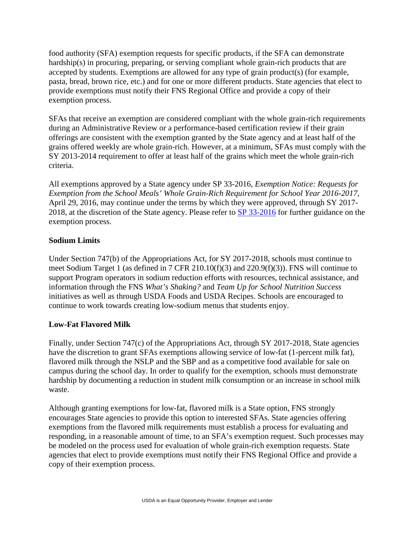food authority (SFA) exemption requests for specific products, if the SFA can demonstrate hardship(s) in procuring, preparing, or serving compliant whole grain-rich products that are accepted by students. Exemptions are allowed for any type of grain product(s) (for example, pasta, bread, brown rice, etc.) and for one or more different products. State agencies that elect to provide exemptions must notify their FNS Regional Office and provide a copy of their exemption process.

SFAs that receive an exemption are considered compliant with the whole grain-rich requirements during an Administrative Review or a performance-based certification review if their grain offerings are consistent with the exemption granted by the State agency and at least half of the grains offered weekly are whole grain-rich. However, at a minimum, SFAs must comply with the SY 2013-2014 requirement to offer at least half of the grains which meet the whole grain-rich criteria.

All exemptions approved by a State agency under SP 33-2016, *Exemption Notice: Requests for Exemption from the School Meals' Whole Grain-Rich Requirement for School Year 2016-2017*, April 29, 2016, may continue under the terms by which they were approved, through SY 2017- 2018, at the discretion of the State agency. Please refer to SP [33-2016](https://fns-prod.azureedge.net/sites/default/files/cn/SP33-2016os.pdf) for further guidance on the exemption process.

## **Sodium Limits**

Under Section 747(b) of the Appropriations Act, for SY 2017-2018, schools must continue to meet Sodium Target 1 (as defined in 7 CFR 210.10(f)(3) and 220.9(f)(3)). FNS will continue to support Program operators in sodium reduction efforts with resources, technical assistance, and information through the FNS *What's Shaking?* and *Team Up for School Nutrition Success*  initiatives as well as through USDA Foods and USDA Recipes. Schools are encouraged to continue to work towards creating low-sodium menus that students enjoy.

## **Low-Fat Flavored Milk**

Finally, under Section 747(c) of the Appropriations Act, through SY 2017-2018, State agencies have the discretion to grant SFAs exemptions allowing service of low-fat (1-percent milk fat), flavored milk through the NSLP and the SBP and as a competitive food available for sale on campus during the school day. In order to qualify for the exemption, schools must demonstrate hardship by documenting a reduction in student milk consumption or an increase in school milk waste.

Although granting exemptions for low-fat, flavored milk is a State option, FNS strongly encourages State agencies to provide this option to interested SFAs. State agencies offering exemptions from the flavored milk requirements must establish a process for evaluating and responding, in a reasonable amount of time, to an SFA's exemption request. Such processes may be modeled on the process used for evaluation of whole grain-rich exemption requests. State agencies that elect to provide exemptions must notify their FNS Regional Office and provide a copy of their exemption process.